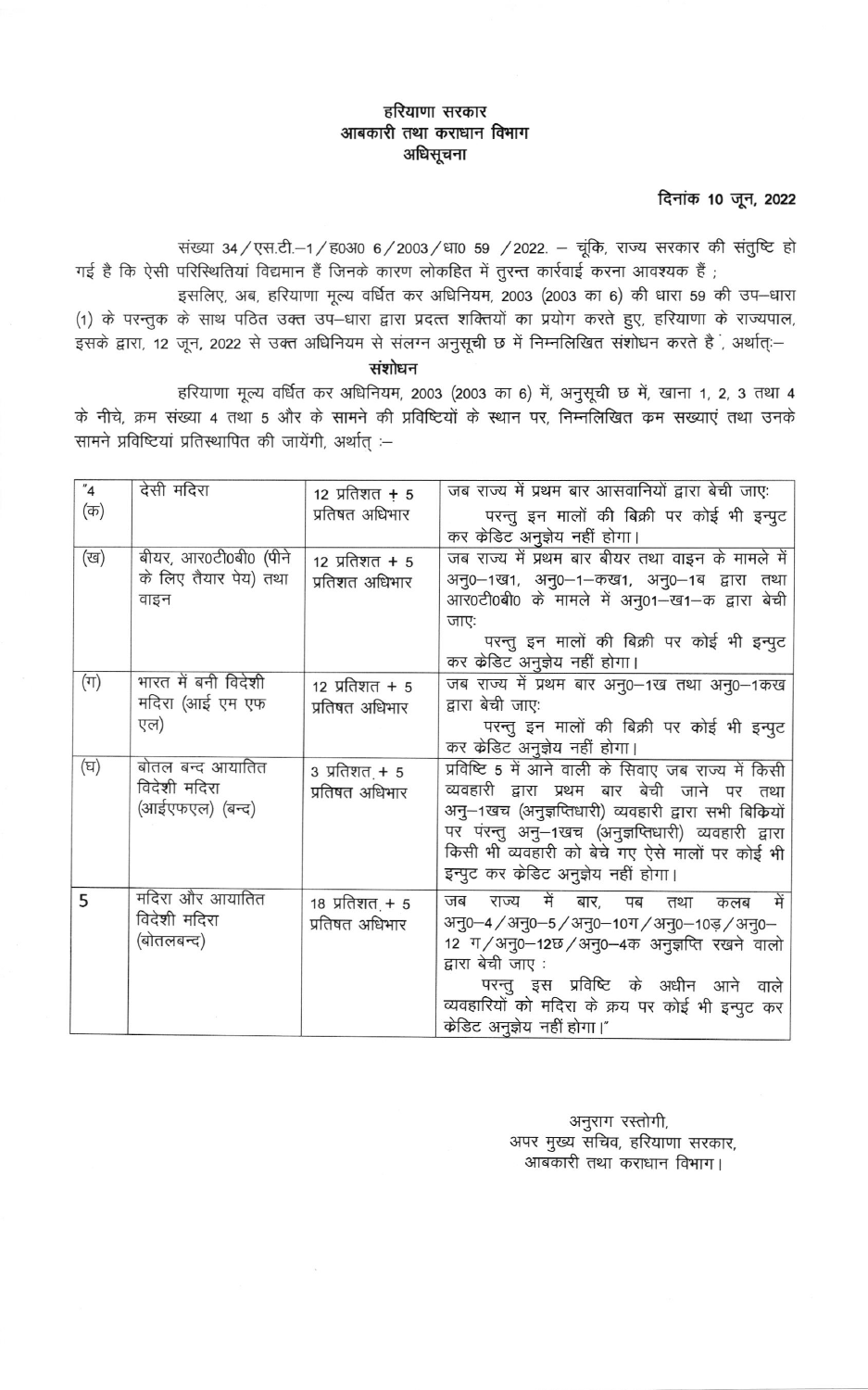## हरियाणा सरकार आबकारी तथा कराधान विभाग अधिसूचना

दिनांक 10 जून, 2022

संख्या 34 / एस.टी.-1 / ह0310 6 / 2003 / धा0 59 / 2022. - चूंकि, राज्य सरकार की संतुष्टि हो गई है कि ऐसी परिस्थितियां विद्यमान हैं जिनके कारण लोकहित में तुरन्त कार्रवाई करना आवश्यक हैं ;

इसलिए, अब, हरियाणा मूल्य वर्धित कर अधिनियम, 2003 (2003 का 6) की धारा 59 की उप-धारा (1) के परन्तुक के साथ पठित उक्त उप-धारा द्वारा प्रदत्त शक्तियों का प्रयोग करते हुए, हरियाणा के राज्यपाल, ्<br>इसके द्वारा, 12 जून, 2022 से उक्त अधिनियम से संलग्न अनुसूची छ में निम्नलिखित संशोधन करते हैं , अर्थात्:–

संशोधन

हरियाणा मूल्य वर्धित कर अधिनियम, 2003 (2003 का 6) में, अनुसूची छ में, खाना 1, 2, 3 तथा 4 के नीचे, क्रम संख्या 4 तथा 5 और के सामने की प्रविष्टियों के स्थान पर, निम्नलिखित क्रम सख्याएं तथा उनके सामने प्रविष्टियां प्रतिस्थापित की जायेंगी, अर्थात :-

| "4"     | देसी मदिरा                       | 12 प्रतिशत + 5                         | जब राज्य में प्रथम बार आसवानियों द्वारा बेची जाएः    |
|---------|----------------------------------|----------------------------------------|------------------------------------------------------|
| (क)     |                                  | प्रतिषत अधिभार                         | परन्तु इन मालों की बिक्री पर कोई भी इन्पुट           |
|         |                                  |                                        | कर केडिट अनुज्ञेय नहीं होगा।                         |
| (ख)     | बीयर, आर0टी0बी0 (पीने            | $12 \overline{3} + 5$                  | जब राज्य में प्रथम बार बीयर तथा वाइन के मामले में    |
|         | के लिए तैयार पेय) तथा            | प्रतिशत अधिभार                         | अनु0–1ख1, अनु0–1–कख1, अनु0–1ब द्वारा तथा             |
|         | वाइन                             |                                        | आर0टी0बी0 के मामले में अनु01-ख1-क द्वारा बेची        |
|         |                                  |                                        | जाएः                                                 |
|         |                                  |                                        | परन्तु इन मालों की बिक्री पर कोई भी इन्पुट           |
|         |                                  |                                        | कर केडिट अनुज्ञेय नहीं होगा।                         |
| $(\pi)$ | भारत में बनी विदेशी              | $12 \text{ }\overline{1}$ प्रतिशत + 5  | जब राज्य में प्रथम बार अनु0-1ख तथा अनु0-1कख          |
|         | मदिरा (आई एम एफ                  | प्रतिषत अधिभार                         | द्वारा बेची जाएः                                     |
|         | एल)                              |                                        | परन्तु इन मालों की बिक्री पर कोई भी इन्पुट           |
|         |                                  |                                        | कर केडिट अनुज्ञेय नहीं होगा।                         |
| (घ)     | बोतल बन्द आयातित<br>विदेशी मदिरा | $3 \overline{x}$ तिशत <sub>्</sub> + 5 | प्रविष्टि 5 में आने वाली के सिवाए जब राज्य में किसी  |
|         |                                  | प्रतिषत अधिभार                         | व्यवहारी द्वारा प्रथम बार बेची जाने पर तथा           |
|         | (आईएफएल) (बन्द)                  |                                        | अन्-1खच (अनुज्ञप्तिधारी) व्यवहारी द्वारा सभी बिकियों |
|         |                                  |                                        | पर परन्तु अनु–1खच (अनुज्ञप्तिधारी) व्यवहारी द्वारा   |
|         |                                  |                                        | किसी भी व्यवहारी को बेचे गए ऐसे मालों पर कोई भी      |
|         |                                  |                                        | इन्पुट कर केडिट अनुज्ञेय नहीं होगा।                  |
| 5       | मदिरा और आयातित                  | 18 प्रतिशत <sub>.</sub> + 5            | में<br>में<br>राज्य<br>बार, पब<br>जब<br>तथा<br>कलब   |
|         | विदेशी मदिरा                     | प्रतिषत अधिभार                         | अनु0–4 / अनु0–5 / अनु0–10ग / अनु0–10ड़ / अनु0–       |
|         | (बोतलबन्द)                       |                                        | 12 ग/अनु0-12छ/अनु0-4क अनुज्ञप्ति रखने वालो           |
|         |                                  |                                        | द्वारा बेची जाए :                                    |
|         |                                  |                                        | परन्तु इस प्रविष्टि के अधीन आने वाले                 |
|         |                                  |                                        | व्यवहारियों को मदिरा के क्रय पर कोई भी इन्पुट कर     |
|         |                                  |                                        | केडिट अनुज्ञेय नहीं होगा।"                           |

अनुराग रस्तोगी, अपर मुख्य सचिव, हरियाणा सरकार, आबकारी तथा कराधान विभाग।